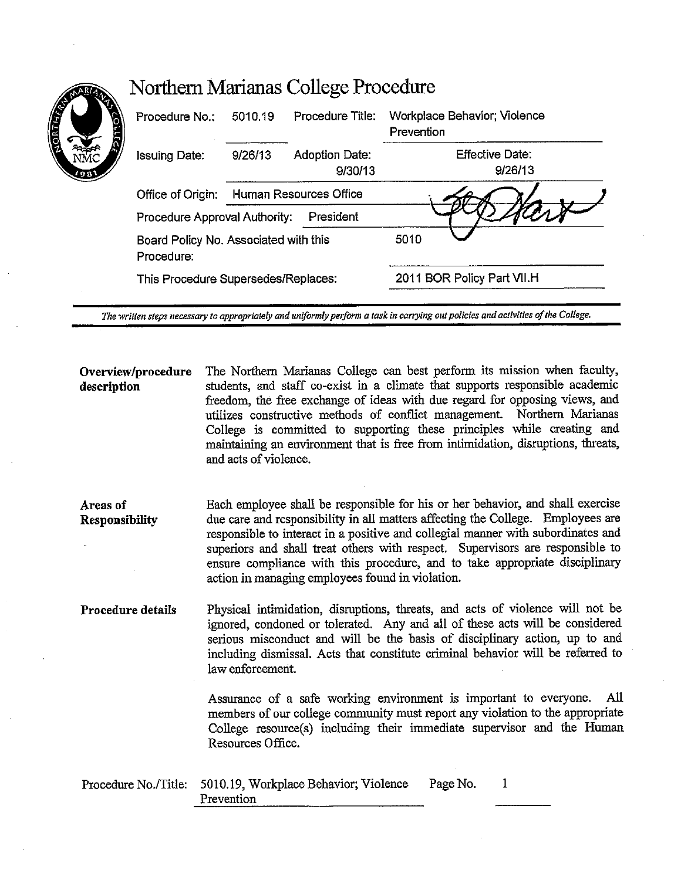| <b>CELLED</b><br>Ā | Procedure No.:                                      | 5010.19 | Procedure Title:          | Workplace Behavior; Violence<br>Prevention |
|--------------------|-----------------------------------------------------|---------|---------------------------|--------------------------------------------|
| '98'               | <b>Issuing Date:</b>                                | 9/26/13 | Adoption Date:<br>9/30/13 | <b>Effective Date:</b><br>9/26/13          |
|                    | Office of Origin:                                   |         | Human Resources Office    |                                            |
|                    | Procedure Approval Authority:                       |         | President                 |                                            |
|                    | Board Policy No. Associated with this<br>Procedure: |         |                           | 5010                                       |
|                    | This Procedure Supersedes/Replaces:                 |         |                           | 2011 BOR Policy Part VII.H                 |

**Overview/procedure description**  The Northern Marianas College can best perform its mission when faculty, students, and staff co-exist in a climate that supports responsible academic freedom, the free exchange of ideas with due regard for opposing views, and utilizes constructive methods of conflict management. Northern Marianas College is committed to supporting these principles while creating and maintaining an environment that is free from intimidation, disruptions, threats, and acts of violence.

Areas of Responsibility Each employee shall be responsible for his or her behavior, and shall exercise due care and responsibility in all matters affecting the College. Employees are responsible to interact in a positive and collegial manner with subordinates and superiors and shall treat others with respect. Supervisors are responsible to ensure compliance with this procedure, and to take appropriate disciplinary action in managing employees found in violation.

Procedure details Physical intimidation, disruptions, threats, and acts of violence will not be ignored, condoned or tolerated. Any and all of these acts will be considered serious misconduct and will be the basis of disciplinary action, up to and including dismissal. Acts that constitute criminal behavior will be referred to law enforcement.

> Assurance of a safe working environment is important to everyone. All members of our college community must report any violation to the appropriate College resource(s) including their immediate supervisor and the Human Resources Office.

| Procedure No./Title: 5010.19, Workplace Behavior; Violence | Page No. |  |
|------------------------------------------------------------|----------|--|
| Prevention                                                 |          |  |